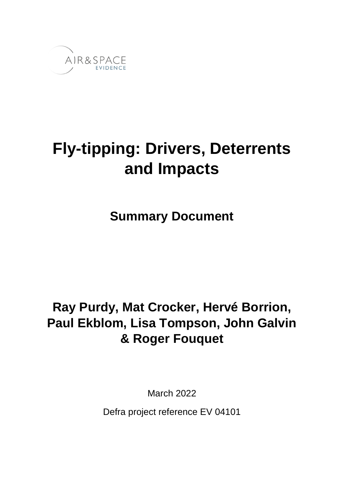

# **Fly-tipping: Drivers, Deterrents and Impacts**

## **Summary Document**

## **Ray Purdy, Mat Crocker, Hervé Borrion, Paul Ekblom, Lisa Tompson, John Galvin & Roger Fouquet**

March 2022

Defra project reference EV 04101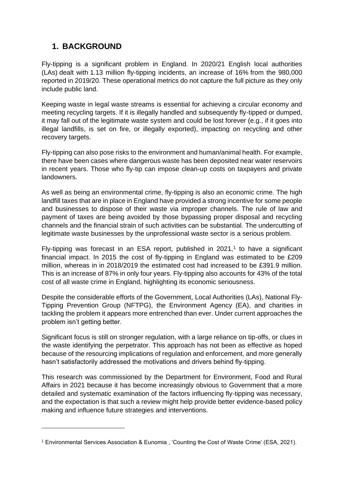## **1. BACKGROUND**

Fly-tipping is a significant problem in England. In 2020/21 English local authorities (LAs) dealt with 1.13 million fly-tipping incidents, an increase of 16% from the 980,000 reported in 2019/20. These operational metrics do not capture the full picture as they only include public land.

Keeping waste in legal waste streams is essential for achieving a circular economy and meeting recycling targets. If it is illegally handled and subsequently fly-tipped or dumped, it may fall out of the legitimate waste system and could be lost forever (e.g., if it goes into illegal landfills, is set on fire, or illegally exported), impacting on recycling and other recovery targets.

Fly-tipping can also pose risks to the environment and human/animal health. For example, there have been cases where dangerous waste has been deposited near water reservoirs in recent years. Those who fly-tip can impose clean-up costs on taxpayers and private landowners.

As well as being an environmental crime, fly-tipping is also an economic crime. The high landfill taxes that are in place in England have provided a strong incentive for some people and businesses to dispose of their waste via improper channels. The rule of law and payment of taxes are being avoided by those bypassing proper disposal and recycling channels and the financial strain of such activities can be substantial. The undercutting of legitimate waste businesses by the unprofessional waste sector is a serious problem.

Fly-tipping was forecast in an ESA report, published in  $2021$ ,<sup>1</sup> to have a significant financial impact. In 2015 the cost of fly-tipping in England was estimated to be £209 million, whereas in in 2018/2019 the estimated cost had increased to be £391.9 million. This is an increase of 87% in only four years. Fly-tipping also accounts for 43% of the total cost of all waste crime in England, highlighting its economic seriousness.

Despite the considerable efforts of the Government, Local Authorities (LAs), National Fly-Tipping Prevention Group (NFTPG), the Environment Agency (EA), and charities in tackling the problem it appears more entrenched than ever. Under current approaches the problem isn't getting better.

Significant focus is still on stronger regulation, with a large reliance on tip-offs, or clues in the waste identifying the perpetrator. This approach has not been as effective as hoped because of the resourcing implications of regulation and enforcement, and more generally hasn't satisfactorily addressed the motivations and drivers behind fly-tipping.

This research was commissioned by the Department for Environment, Food and Rural Affairs in 2021 because it has become increasingly obvious to Government that a more detailed and systematic examination of the factors influencing fly-tipping was necessary, and the expectation is that such a review might help provide better evidence-based policy making and influence future strategies and interventions.

<sup>1</sup> Environmental Services Association & Eunomia , 'Counting the Cost of Waste Crime' (ESA, 2021).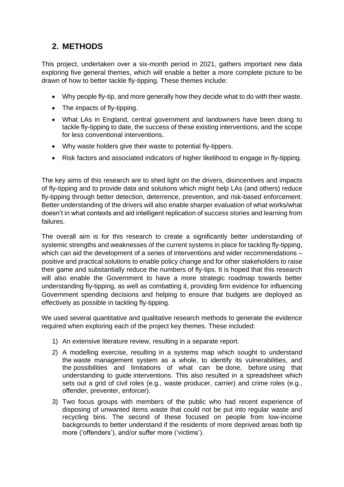## **2. METHODS**

This project, undertaken over a six-month period in 2021, gathers important new data exploring five general themes, which will enable a better a more complete picture to be drawn of how to better tackle fly-tipping. These themes include:

- Why people fly-tip, and more generally how they decide what to do with their waste.
- The impacts of fly-tipping.
- What LAs in England, central government and landowners have been doing to tackle fly-tipping to date, the success of these existing interventions, and the scope for less conventional interventions.
- Why waste holders give their waste to potential fly-tippers.
- Risk factors and associated indicators of higher likelihood to engage in fly-tipping.

The key aims of this research are to shed light on the drivers, disincentives and impacts of fly-tipping and to provide data and solutions which might help LAs (and others) reduce fly-tipping through better detection, deterrence, prevention, and risk-based enforcement. Better understanding of the drivers will also enable sharper evaluation of what works/what doesn't in what contexts and aid intelligent replication of success stories and learning from failures.

The overall aim is for this research to create a significantly better understanding of systemic strengths and weaknesses of the current systems in place for tackling fly-tipping, which can aid the development of a series of interventions and wider recommendations – positive and practical solutions to enable policy change and for other stakeholders to raise their game and substantially reduce the numbers of fly-tips. It is hoped that this research will also enable the Government to have a more strategic roadmap towards better understanding fly-tipping, as well as combatting it, providing firm evidence for influencing Government spending decisions and helping to ensure that budgets are deployed as effectively as possible in tackling fly-tipping.

We used several quantitative and qualitative research methods to generate the evidence required when exploring each of the project key themes. These included:

- 1) An extensive literature review, resulting in a separate report.
- 2) A modelling exercise, resulting in a systems map which sought to understand the waste management system as a whole, to identify its vulnerabilities, and the possibilities and limitations of what can be done, before using that understanding to guide interventions. This also resulted in a spreadsheet which sets out a grid of civil roles (e.g., waste producer, carrier) and crime roles (e.g., offender, preventer, enforcer).
- 3) Two focus groups with members of the public who had recent experience of disposing of unwanted items waste that could not be put into regular waste and recycling bins. The second of these focused on people from low-income backgrounds to better understand if the residents of more deprived areas both tip more ('offenders'), and/or suffer more ('victims').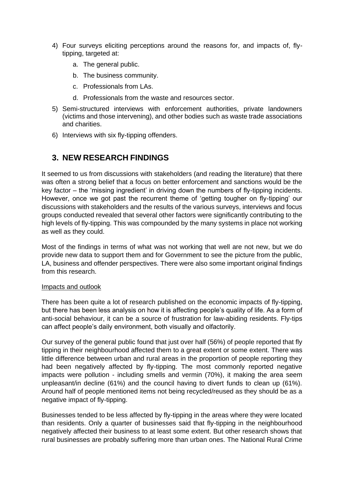- 4) Four surveys eliciting perceptions around the reasons for, and impacts of, flytipping, targeted at:
	- a. The general public.
	- b. The business community.
	- c. Professionals from LAs.
	- d. Professionals from the waste and resources sector.
- 5) Semi-structured interviews with enforcement authorities, private landowners (victims and those intervening), and other bodies such as waste trade associations and charities.
- 6) Interviews with six fly-tipping offenders.

### **3. NEW RESEARCH FINDINGS**

It seemed to us from discussions with stakeholders (and reading the literature) that there was often a strong belief that a focus on better enforcement and sanctions would be the key factor – the 'missing ingredient' in driving down the numbers of fly-tipping incidents. However, once we got past the recurrent theme of 'getting tougher on fly-tipping' our discussions with stakeholders and the results of the various surveys, interviews and focus groups conducted revealed that several other factors were significantly contributing to the high levels of fly-tipping. This was compounded by the many systems in place not working as well as they could.

Most of the findings in terms of what was not working that well are not new, but we do provide new data to support them and for Government to see the picture from the public, LA, business and offender perspectives. There were also some important original findings from this research.

#### Impacts and outlook

There has been quite a lot of research published on the economic impacts of fly-tipping, but there has been less analysis on how it is affecting people's quality of life. As a form of anti-social behaviour, it can be a source of frustration for law-abiding residents. Fly-tips can affect people's daily environment, both visually and olfactorily.

Our survey of the general public found that just over half (56%) of people reported that fly tipping in their neighbourhood affected them to a great extent or some extent. There was little difference between urban and rural areas in the proportion of people reporting they had been negatively affected by fly-tipping. The most commonly reported negative impacts were pollution - including smells and vermin (70%), it making the area seem unpleasant/in decline (61%) and the council having to divert funds to clean up (61%). Around half of people mentioned items not being recycled/reused as they should be as a negative impact of fly-tipping.

Businesses tended to be less affected by fly-tipping in the areas where they were located than residents. Only a quarter of businesses said that fly-tipping in the neighbourhood negatively affected their business to at least some extent. But other research shows that rural businesses are probably suffering more than urban ones. The National Rural Crime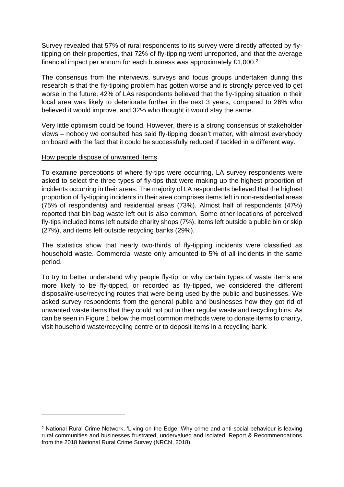Survey revealed that 57% of rural respondents to its survey were directly affected by flytipping on their properties, that 72% of fly-tipping went unreported, and that the average financial impact per annum for each business was approximately £1,000.<sup>2</sup>

The consensus from the interviews, surveys and focus groups undertaken during this research is that the fly-tipping problem has gotten worse and is strongly perceived to get worse in the future. 42% of LAs respondents believed that the fly-tipping situation in their local area was likely to deteriorate further in the next 3 years, compared to 26% who believed it would improve, and 32% who thought it would stay the same.

Very little optimism could be found. However, there is a strong consensus of stakeholder views – nobody we consulted has said fly-tipping doesn't matter, with almost everybody on board with the fact that it could be successfully reduced if tackled in a different way.

#### How people dispose of unwanted items

To examine perceptions of where fly-tips were occurring, LA survey respondents were asked to select the three types of fly-tips that were making up the highest proportion of incidents occurring in their areas. The majority of LA respondents believed that the highest proportion of fly-tipping incidents in their area comprises items left in non-residential areas (75% of respondents) and residential areas (73%). Almost half of respondents (47%) reported that bin bag waste left out is also common. Some other locations of perceived fly-tips included items left outside charity shops (7%), items left outside a public bin or skip (27%), and items left outside recycling banks (29%).

The statistics show that nearly two-thirds of fly-tipping incidents were classified as household waste. Commercial waste only amounted to 5% of all incidents in the same period.

To try to better understand why people fly-tip, or why certain types of waste items are more likely to be fly-tipped, or recorded as fly-tipped, we considered the different disposal/re-use/recycling routes that were being used by the public and businesses. We asked survey respondents from the general public and businesses how they got rid of unwanted waste items that they could not put in their regular waste and recycling bins. As can be seen in Figure 1 below the most common methods were to donate items to charity, visit household waste/recycling centre or to deposit items in a recycling bank.

<sup>2</sup> National Rural Crime Network, 'Living on the Edge: Why crime and anti-social behaviour is leaving rural communities and businesses frustrated, undervalued and isolated. Report & Recommendations from the 2018 National Rural Crime Survey (NRCN, 2018).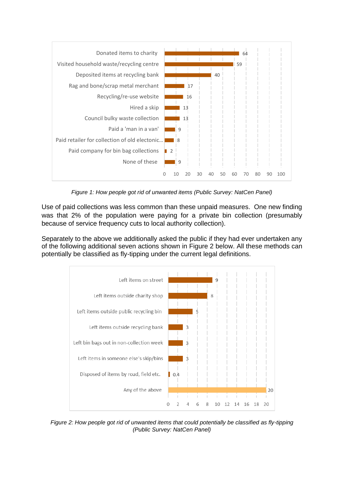

*Figure 1: How people got rid of unwanted items (Public Survey: NatCen Panel)*

Use of paid collections was less common than these unpaid measures. One new finding was that 2% of the population were paying for a private bin collection (presumably because of service frequency cuts to local authority collection).

Separately to the above we additionally asked the public if they had ever undertaken any of the following additional seven actions shown in Figure 2 below. All these methods can potentially be classified as fly-tipping under the current legal definitions.



*Figure 2: How people got rid of unwanted items that could potentially be classified as fly-tipping (Public Survey: NatCen Panel)*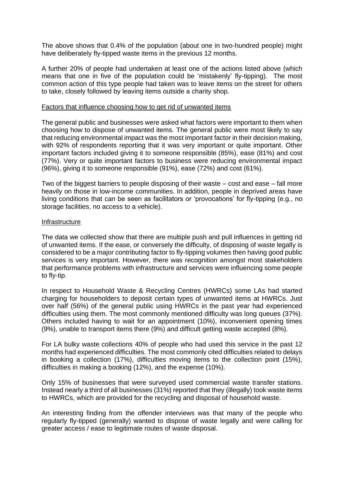The above shows that 0.4% of the population (about one in two-hundred people) might have deliberately fly-tipped waste items in the previous 12 months.

A further 20% of people had undertaken at least one of the actions listed above (which means that one in five of the population could be 'mistakenly' fly-tipping). The most common action of this type people had taken was to leave items on the street for others to take, closely followed by leaving items outside a charity shop.

#### Factors that influence choosing how to get rid of unwanted items

The general public and businesses were asked what factors were important to them when choosing how to dispose of unwanted items. The general public were most likely to say that reducing environmental impact was the most important factor in their decision making, with 92% of respondents reporting that it was very important or quite important. Other important factors included giving it to someone responsible (85%), ease (81%) and cost (77%). Very or quite important factors to business were reducing environmental impact (96%), giving it to someone responsible (91%), ease (72%) and cost (61%).

Two of the biggest barriers to people disposing of their waste – cost and ease – fall more heavily on those in low-income communities. In addition, people in deprived areas have living conditions that can be seen as facilitators or 'provocations' for fly-tipping (e.g., no storage facilities, no access to a vehicle).

#### Infrastructure

The data we collected show that there are multiple push and pull influences in getting rid of unwanted items. If the ease, or conversely the difficulty, of disposing of waste legally is considered to be a major contributing factor to fly-tipping volumes then having good public services is very important. However, there was recognition amongst most stakeholders that performance problems with infrastructure and services were influencing some people to fly-tip.

In respect to Household Waste & Recycling Centres (HWRCs) some LAs had started charging for householders to deposit certain types of unwanted items at HWRCs. Just over half (56%) of the general public using HWRCs in the past year had experienced difficulties using them. The most commonly mentioned difficulty was long queues (37%). Others included having to wait for an appointment (10%), inconvenient opening times (9%), unable to transport items there (9%) and difficult getting waste accepted (8%).

For LA bulky waste collections 40% of people who had used this service in the past 12 months had experienced difficulties. The most commonly cited difficulties related to delays in booking a collection (17%), difficulties moving items to the collection point (15%), difficulties in making a booking (12%), and the expense (10%).

Only 15% of businesses that were surveyed used commercial waste transfer stations. Instead nearly a third of all businesses (31%) reported that they (illegally) took waste items to HWRCs, which are provided for the recycling and disposal of household waste.

An interesting finding from the offender interviews was that many of the people who regularly fly-tipped (generally) wanted to dispose of waste legally and were calling for greater access / ease to legitimate routes of waste disposal.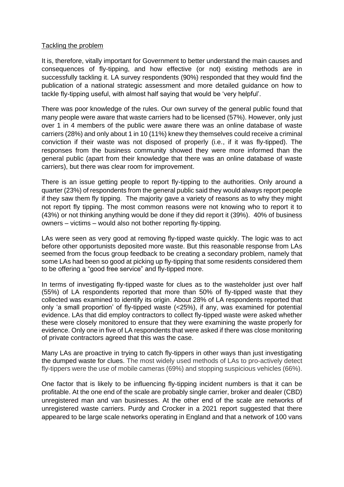#### Tackling the problem

It is, therefore, vitally important for Government to better understand the main causes and consequences of fly-tipping, and how effective (or not) existing methods are in successfully tackling it. LA survey respondents (90%) responded that they would find the publication of a national strategic assessment and more detailed guidance on how to tackle fly-tipping useful, with almost half saying that would be 'very helpful'.

There was poor knowledge of the rules. Our own survey of the general public found that many people were aware that waste carriers had to be licensed (57%). However, only just over 1 in 4 members of the public were aware there was an online database of waste carriers (28%) and only about 1 in 10 (11%) knew they themselves could receive a criminal conviction if their waste was not disposed of properly (i.e., if it was fly-tipped). The responses from the business community showed they were more informed than the general public (apart from their knowledge that there was an online database of waste carriers), but there was clear room for improvement.

There is an issue getting people to report fly-tipping to the authorities. Only around a quarter (23%) of respondents from the general public said they would always report people if they saw them fly tipping. The majority gave a variety of reasons as to why they might not report fly tipping. The most common reasons were not knowing who to report it to (43%) or not thinking anything would be done if they did report it (39%). 40% of business owners – victims – would also not bother reporting fly-tipping.

LAs were seen as very good at removing fly-tipped waste quickly. The logic was to act before other opportunists deposited more waste. But this reasonable response from LAs seemed from the focus group feedback to be creating a secondary problem, namely that some LAs had been so good at picking up fly-tipping that some residents considered them to be offering a "good free service" and fly-tipped more.

In terms of investigating fly-tipped waste for clues as to the wasteholder just over half (55%) of LA respondents reported that more than 50% of fly-tipped waste that they collected was examined to identify its origin. About 28% of LA respondents reported that only 'a small proportion' of fly-tipped waste (<25%), if any, was examined for potential evidence. LAs that did employ contractors to collect fly-tipped waste were asked whether these were closely monitored to ensure that they were examining the waste properly for evidence. Only one in five of LA respondents that were asked if there was close monitoring of private contractors agreed that this was the case.

Many LAs are proactive in trying to catch fly-tippers in other ways than just investigating the dumped waste for clues. The most widely used methods of LAs to pro-actively detect fly-tippers were the use of mobile cameras (69%) and stopping suspicious vehicles (66%).

One factor that is likely to be influencing fly-tipping incident numbers is that it can be profitable. At the one end of the scale are probably single carrier, broker and dealer (CBD) unregistered man and van businesses. At the other end of the scale are networks of unregistered waste carriers. Purdy and Crocker in a 2021 report suggested that there appeared to be large scale networks operating in England and that a network of 100 vans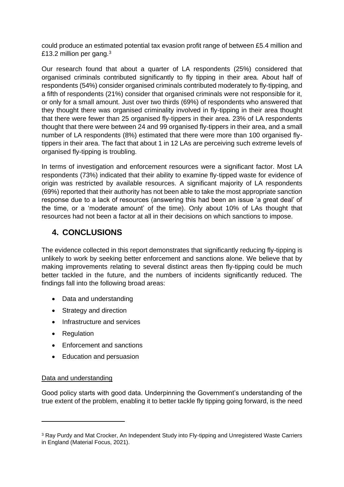could produce an estimated potential tax evasion profit range of between £5.4 million and £13.2 million per gang.<sup>3</sup>

Our research found that about a quarter of LA respondents (25%) considered that organised criminals contributed significantly to fly tipping in their area. About half of respondents (54%) consider organised criminals contributed moderately to fly-tipping, and a fifth of respondents (21%) consider that organised criminals were not responsible for it, or only for a small amount. Just over two thirds (69%) of respondents who answered that they thought there was organised criminality involved in fly-tipping in their area thought that there were fewer than 25 organised fly-tippers in their area. 23% of LA respondents thought that there were between 24 and 99 organised fly-tippers in their area, and a small number of LA respondents (8%) estimated that there were more than 100 organised flytippers in their area. The fact that about 1 in 12 LAs are perceiving such extreme levels of organised fly-tipping is troubling.

In terms of investigation and enforcement resources were a significant factor. Most LA respondents (73%) indicated that their ability to examine fly-tipped waste for evidence of origin was restricted by available resources. A significant majority of LA respondents (69%) reported that their authority has not been able to take the most appropriate sanction response due to a lack of resources (answering this had been an issue 'a great deal' of the time, or a 'moderate amount' of the time). Only about 10% of LAs thought that resources had not been a factor at all in their decisions on which sanctions to impose.

### **4. CONCLUSIONS**

The evidence collected in this report demonstrates that significantly reducing fly-tipping is unlikely to work by seeking better enforcement and sanctions alone. We believe that by making improvements relating to several distinct areas then fly-tipping could be much better tackled in the future, and the numbers of incidents significantly reduced. The findings fall into the following broad areas:

- Data and understanding
- Strategy and direction
- Infrastructure and services
- Regulation
- Enforcement and sanctions
- Education and persuasion

#### Data and understanding

Good policy starts with good data. Underpinning the Government's understanding of the true extent of the problem, enabling it to better tackle fly tipping going forward, is the need

<sup>&</sup>lt;sup>3</sup> Ray Purdy and Mat Crocker, An Independent Study into Fly-tipping and Unregistered Waste Carriers in England (Material Focus, 2021).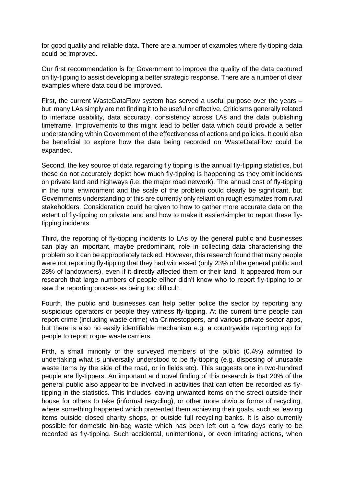for good quality and reliable data. There are a number of examples where fly-tipping data could be improved.

Our first recommendation is for Government to improve the quality of the data captured on fly-tipping to assist developing a better strategic response. There are a number of clear examples where data could be improved.

First, the current WasteDataFlow system has served a useful purpose over the years – but many LAs simply are not finding it to be useful or effective. Criticisms generally related to interface usability, data accuracy, consistency across LAs and the data publishing timeframe. Improvements to this might lead to better data which could provide a better understanding within Government of the effectiveness of actions and policies. It could also be beneficial to explore how the data being recorded on WasteDataFlow could be expanded.

Second, the key source of data regarding fly tipping is the annual fly-tipping statistics, but these do not accurately depict how much fly-tipping is happening as they omit incidents on private land and highways (i.e. the major road network). The annual cost of fly-tipping in the rural environment and the scale of the problem could clearly be significant, but Governments understanding of this are currently only reliant on rough estimates from rural stakeholders. Consideration could be given to how to gather more accurate data on the extent of fly-tipping on private land and how to make it easier/simpler to report these flytipping incidents.

Third, the reporting of fly-tipping incidents to LAs by the general public and businesses can play an important, maybe predominant, role in collecting data characterising the problem so it can be appropriately tackled. However, this research found that many people were not reporting fly-tipping that they had witnessed (only 23% of the general public and 28% of landowners), even if it directly affected them or their land. It appeared from our research that large numbers of people either didn't know who to report fly-tipping to or saw the reporting process as being too difficult.

Fourth, the public and businesses can help better police the sector by reporting any suspicious operators or people they witness fly-tipping. At the current time people can report crime (including waste crime) via Crimestoppers, and various private sector apps, but there is also no easily identifiable mechanism e.g. a countrywide reporting app for people to report rogue waste carriers.

Fifth, a small minority of the surveyed members of the public (0.4%) admitted to undertaking what is universally understood to be fly-tipping (e.g. disposing of unusable waste items by the side of the road, or in fields etc). This suggests one in two-hundred people are fly-tippers. An important and novel finding of this research is that 20% of the general public also appear to be involved in activities that can often be recorded as flytipping in the statistics. This includes leaving unwanted items on the street outside their house for others to take (informal recycling), or other more obvious forms of recycling, where something happened which prevented them achieving their goals, such as leaving items outside closed charity shops, or outside full recycling banks. It is also currently possible for domestic bin-bag waste which has been left out a few days early to be recorded as fly-tipping. Such accidental, unintentional, or even irritating actions, when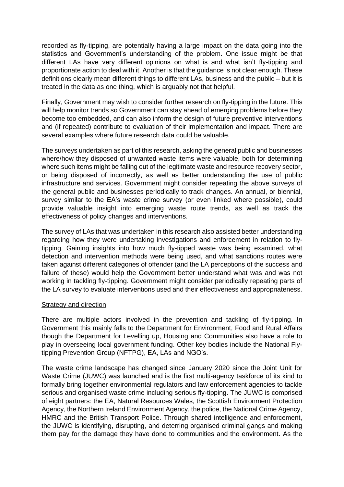recorded as fly-tipping, are potentially having a large impact on the data going into the statistics and Government's understanding of the problem. One issue might be that different LAs have very different opinions on what is and what isn't fly-tipping and proportionate action to deal with it. Another is that the guidance is not clear enough. These definitions clearly mean different things to different LAs, business and the public – but it is treated in the data as one thing, which is arguably not that helpful.

Finally, Government may wish to consider further research on fly-tipping in the future. This will help monitor trends so Government can stay ahead of emerging problems before they become too embedded, and can also inform the design of future preventive interventions and (if repeated) contribute to evaluation of their implementation and impact. There are several examples where future research data could be valuable.

The surveys undertaken as part of this research, asking the general public and businesses where/how they disposed of unwanted waste items were valuable, both for determining where such items might be falling out of the legitimate waste and resource recovery sector, or being disposed of incorrectly, as well as better understanding the use of public infrastructure and services. Government might consider repeating the above surveys of the general public and businesses periodically to track changes. An annual, or biennial, survey similar to the EA's waste crime survey (or even linked where possible), could provide valuable insight into emerging waste route trends, as well as track the effectiveness of policy changes and interventions.

The survey of LAs that was undertaken in this research also assisted better understanding regarding how they were undertaking investigations and enforcement in relation to flytipping. Gaining insights into how much fly-tipped waste was being examined, what detection and intervention methods were being used, and what sanctions routes were taken against different categories of offender (and the LA perceptions of the success and failure of these) would help the Government better understand what was and was not working in tackling fly-tipping. Government might consider periodically repeating parts of the LA survey to evaluate interventions used and their effectiveness and appropriateness.

#### **Strategy and direction**

There are multiple actors involved in the prevention and tackling of fly-tipping. In Government this mainly falls to the Department for Environment, Food and Rural Affairs though the Department for Levelling up, Housing and Communities also have a role to play in overseeing local government funding. Other key bodies include the National Flytipping Prevention Group (NFTPG), EA, LAs and NGO's.

The waste crime landscape has changed since January 2020 since the Joint Unit for Waste Crime (JUWC) was launched and is the first multi-agency taskforce of its kind to formally bring together environmental regulators and law enforcement agencies to tackle serious and organised waste crime including serious fly-tipping. The JUWC is comprised of eight partners: the EA, Natural Resources Wales, the Scottish Environment Protection Agency, the Northern Ireland Environment Agency, the police, the National Crime Agency, HMRC and the British Transport Police. Through shared intelligence and enforcement, the JUWC is identifying, disrupting, and deterring organised criminal gangs and making them pay for the damage they have done to communities and the environment. As the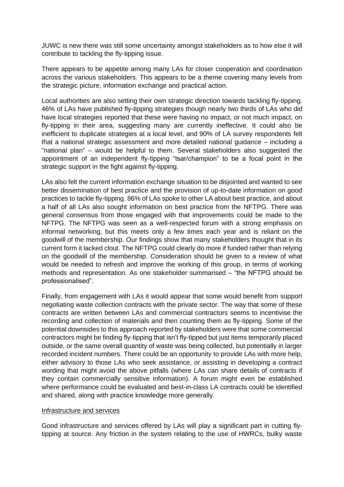JUWC is new there was still some uncertainty amongst stakeholders as to how else it will contribute to tackling the fly-tipping issue.

There appears to be appetite among many LAs for closer cooperation and coordination across the various stakeholders. This appears to be a theme covering many levels from the strategic picture, information exchange and practical action.

Local authorities are also setting their own strategic direction towards tackling fly-tipping. 46% of LAs have published fly-tipping strategies though nearly two thirds of LAs who did have local strategies reported that these were having no impact, or not much impact, on fly-tipping in their area, suggesting many are currently ineffective. It could also be inefficient to duplicate strategies at a local level, and 90% of LA survey respondents felt that a national strategic assessment and more detailed national guidance – including a "national plan" – would be helpful to them. Several stakeholders also suggested the appointment of an independent fly-tipping "tsar/champion" to be a focal point in the strategic support in the fight against fly-tipping.

LAs also felt the current information exchange situation to be disjointed and wanted to see better dissemination of best practice and the provision of up-to-date information on good practices to tackle fly-tipping. 86% of LAs spoke to other LA about best practice, and about a half of all LAs also sought information on best practice from the NFTPG. There was general consensus from those engaged with that improvements could be made to the NFTPG. The NFTPG was seen as a well-respected forum with a strong emphasis on informal networking, but this meets only a few times each year and is reliant on the goodwill of the membership. Our findings show that many stakeholders thought that in its current form it lacked clout. The NFTPG could clearly do more if funded rather than relying on the goodwill of the membership. Consideration should be given to a review of what would be needed to refresh and improve the working of this group, in terms of working methods and representation. As one stakeholder summarised – "the NFTPG should be professionalised".

Finally, from engagement with LAs it would appear that some would benefit from support negotiating waste collection contracts with the private sector. The way that some of these contracts are written between LAs and commercial contractors seems to incentivise the recording and collection of materials and then counting them as fly-tipping. Some of the potential downsides to this approach reported by stakeholders were that some commercial contractors might be finding fly-tipping that isn't fly-tipped but just items temporarily placed outside, or the same overall quantity of waste was being collected, but potentially in larger recorded incident numbers. There could be an opportunity to provide LAs with more help, either advisory to those LAs who seek assistance, or assisting in developing a contract wording that might avoid the above pitfalls (where LAs can share details of contracts if they contain commercially sensitive information). A forum might even be established where performance could be evaluated and best-in-class LA contracts could be identified and shared, along with practice knowledge more generally.

#### Infrastructure and services

Good infrastructure and services offered by LAs will play a significant part in cutting flytipping at source. Any friction in the system relating to the use of HWRCs, bulky waste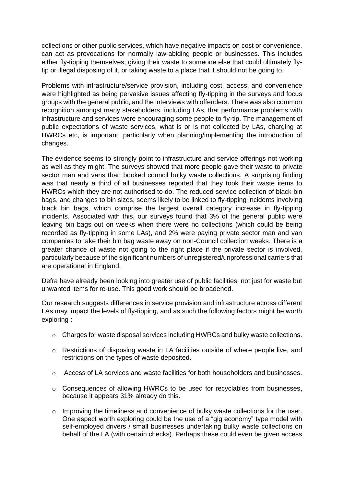collections or other public services, which have negative impacts on cost or convenience, can act as provocations for normally law-abiding people or businesses. This includes either fly-tipping themselves, giving their waste to someone else that could ultimately flytip or illegal disposing of it, or taking waste to a place that it should not be going to.

Problems with infrastructure/service provision, including cost, access, and convenience were highlighted as being pervasive issues affecting fly-tipping in the surveys and focus groups with the general public, and the interviews with offenders. There was also common recognition amongst many stakeholders, including LAs, that performance problems with infrastructure and services were encouraging some people to fly-tip. The management of public expectations of waste services, what is or is not collected by LAs, charging at HWRCs etc, is important, particularly when planning/implementing the introduction of changes.

The evidence seems to strongly point to infrastructure and service offerings not working as well as they might. The surveys showed that more people gave their waste to private sector man and vans than booked council bulky waste collections. A surprising finding was that nearly a third of all businesses reported that they took their waste items to HWRCs which they are not authorised to do. The reduced service collection of black bin bags, and changes to bin sizes, seems likely to be linked to fly-tipping incidents involving black bin bags, which comprise the largest overall category increase in fly-tipping incidents. Associated with this, our surveys found that 3% of the general public were leaving bin bags out on weeks when there were no collections (which could be being recorded as fly-tipping in some LAs), and 2% were paying private sector man and van companies to take their bin bag waste away on non-Council collection weeks. There is a greater chance of waste not going to the right place if the private sector is involved, particularly because of the significant numbers of unregistered/unprofessional carriers that are operational in England.

Defra have already been looking into greater use of public facilities, not just for waste but unwanted items for re-use. This good work should be broadened.

Our research suggests differences in service provision and infrastructure across different LAs may impact the levels of fly-tipping, and as such the following factors might be worth exploring :

- $\circ$  Charges for waste disposal services including HWRCs and bulky waste collections.
- o Restrictions of disposing waste in LA facilities outside of where people live, and restrictions on the types of waste deposited.
- $\circ$  Access of LA services and waste facilities for both householders and businesses.
- o Consequences of allowing HWRCs to be used for recyclables from businesses, because it appears 31% already do this.
- $\circ$  Improving the timeliness and convenience of bulky waste collections for the user. One aspect worth exploring could be the use of a "gig economy" type model with self-employed drivers / small businesses undertaking bulky waste collections on behalf of the LA (with certain checks). Perhaps these could even be given access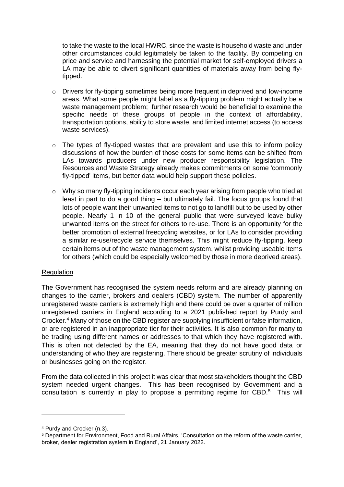to take the waste to the local HWRC, since the waste is household waste and under other circumstances could legitimately be taken to the facility. By competing on price and service and harnessing the potential market for self-employed drivers a LA may be able to divert significant quantities of materials away from being flytipped.

- o Drivers for fly-tipping sometimes being more frequent in deprived and low-income areas. What some people might label as a fly-tipping problem might actually be a waste management problem; further research would be beneficial to examine the specific needs of these groups of people in the context of affordability, transportation options, ability to store waste, and limited internet access (to access waste services).
- $\circ$  The types of fly-tipped wastes that are prevalent and use this to inform policy discussions of how the burden of those costs for some items can be shifted from LAs towards producers under new producer responsibility legislation. The Resources and Waste Strategy already makes commitments on some 'commonly fly-tipped' items, but better data would help support these policies.
- o Why so many fly-tipping incidents occur each year arising from people who tried at least in part to do a good thing – but ultimately fail. The focus groups found that lots of people want their unwanted items to not go to landfill but to be used by other people. Nearly 1 in 10 of the general public that were surveyed leave bulky unwanted items on the street for others to re-use. There is an opportunity for the better promotion of external freecycling websites, or for LAs to consider providing a similar re-use/recycle service themselves. This might reduce fly-tipping, keep certain items out of the waste management system, whilst providing useable items for others (which could be especially welcomed by those in more deprived areas).

#### **Regulation**

The Government has recognised the system needs reform and are already planning on changes to the carrier, brokers and dealers (CBD) system. The number of apparently unregistered waste carriers is extremely high and there could be over a quarter of million unregistered carriers in England according to a 2021 published report by Purdy and Crocker. <sup>4</sup> Many of those on the CBD register are supplying insufficient or false information, or are registered in an inappropriate tier for their activities. It is also common for many to be trading using different names or addresses to that which they have registered with. This is often not detected by the EA, meaning that they do not have good data or understanding of who they are registering. There should be greater scrutiny of individuals or businesses going on the register.

From the data collected in this project it was clear that most stakeholders thought the CBD system needed urgent changes. This has been recognised by Government and a consultation is currently in play to propose a permitting regime for CBD.<sup>5</sup> This will

<sup>4</sup> Purdy and Crocker (n.3).

<sup>5</sup> Department for Environment, Food and Rural Affairs, 'Consultation on the reform of the waste carrier, broker, dealer registration system in England', 21 January 2022.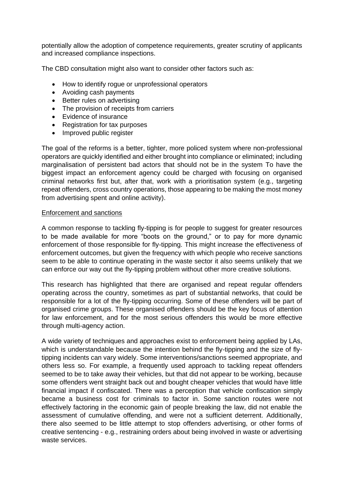potentially allow the adoption of competence requirements, greater scrutiny of applicants and increased compliance inspections.

The CBD consultation might also want to consider other factors such as:

- How to identify rogue or unprofessional operators
- Avoiding cash payments
- Better rules on advertising
- The provision of receipts from carriers
- Evidence of insurance
- Registration for tax purposes
- Improved public register

The goal of the reforms is a better, tighter, more policed system where non-professional operators are quickly identified and either brought into compliance or eliminated; including marginalisation of persistent bad actors that should not be in the system To have the biggest impact an enforcement agency could be charged with focusing on organised criminal networks first but, after that, work with a prioritisation system (e.g., targeting repeat offenders, cross country operations, those appearing to be making the most money from advertising spent and online activity).

#### Enforcement and sanctions

A common response to tackling fly-tipping is for people to suggest for greater resources to be made available for more "boots on the ground," or to pay for more dynamic enforcement of those responsible for fly-tipping. This might increase the effectiveness of enforcement outcomes, but given the frequency with which people who receive sanctions seem to be able to continue operating in the waste sector it also seems unlikely that we can enforce our way out the fly-tipping problem without other more creative solutions.

This research has highlighted that there are organised and repeat regular offenders operating across the country, sometimes as part of substantial networks, that could be responsible for a lot of the fly-tipping occurring. Some of these offenders will be part of organised crime groups. These organised offenders should be the key focus of attention for law enforcement, and for the most serious offenders this would be more effective through multi-agency action.

A wide variety of techniques and approaches exist to enforcement being applied by LAs, which is understandable because the intention behind the fly-tipping and the size of flytipping incidents can vary widely. Some interventions/sanctions seemed appropriate, and others less so. For example, a frequently used approach to tackling repeat offenders seemed to be to take away their vehicles, but that did not appear to be working, because some offenders went straight back out and bought cheaper vehicles that would have little financial impact if confiscated. There was a perception that vehicle confiscation simply became a business cost for criminals to factor in. Some sanction routes were not effectively factoring in the economic gain of people breaking the law, did not enable the assessment of cumulative offending, and were not a sufficient deterrent. Additionally, there also seemed to be little attempt to stop offenders advertising, or other forms of creative sentencing - e.g., restraining orders about being involved in waste or advertising waste services.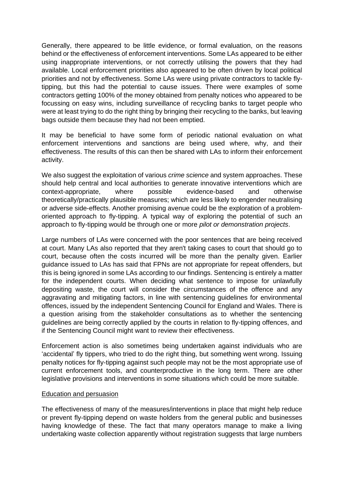Generally, there appeared to be little evidence, or formal evaluation, on the reasons behind or the effectiveness of enforcement interventions. Some LAs appeared to be either using inappropriate interventions, or not correctly utilising the powers that they had available. Local enforcement priorities also appeared to be often driven by local political priorities and not by effectiveness. Some LAs were using private contractors to tackle flytipping, but this had the potential to cause issues. There were examples of some contractors getting 100% of the money obtained from penalty notices who appeared to be focussing on easy wins, including surveillance of recycling banks to target people who were at least trying to do the right thing by bringing their recycling to the banks, but leaving bags outside them because they had not been emptied.

It may be beneficial to have some form of periodic national evaluation on what enforcement interventions and sanctions are being used where, why, and their effectiveness. The results of this can then be shared with LAs to inform their enforcement activity.

We also suggest the exploitation of various *crime science* and system approaches. These should help central and local authorities to generate innovative interventions which are context-appropriate, where possible evidence-based and otherwise theoretically/practically plausible measures; which are less likely to engender neutralising or adverse side-effects. Another promising avenue could be the exploration of a problemoriented approach to fly-tipping. A typical way of exploring the potential of such an approach to fly-tipping would be through one or more *pilot or demonstration projects*.

Large numbers of LAs were concerned with the poor sentences that are being received at court. Many LAs also reported that they aren't taking cases to court that should go to court, because often the costs incurred will be more than the penalty given. Earlier guidance issued to LAs has said that FPNs are not appropriate for repeat offenders, but this is being ignored in some LAs according to our findings. Sentencing is entirely a matter for the independent courts. When deciding what sentence to impose for unlawfully depositing waste, the court will consider the circumstances of the offence and any aggravating and mitigating factors, in line with sentencing guidelines for environmental offences, issued by the independent Sentencing Council for England and Wales. There is a question arising from the stakeholder consultations as to whether the sentencing guidelines are being correctly applied by the courts in relation to fly-tipping offences, and if the Sentencing Council might want to review their effectiveness.

Enforcement action is also sometimes being undertaken against individuals who are 'accidental' fly tippers, who tried to do the right thing, but something went wrong. Issuing penalty notices for fly-tipping against such people may not be the most appropriate use of current enforcement tools, and counterproductive in the long term. There are other legislative provisions and interventions in some situations which could be more suitable.

#### Education and persuasion

The effectiveness of many of the measures/interventions in place that might help reduce or prevent fly-tipping depend on waste holders from the general public and businesses having knowledge of these. The fact that many operators manage to make a living undertaking waste collection apparently without registration suggests that large numbers